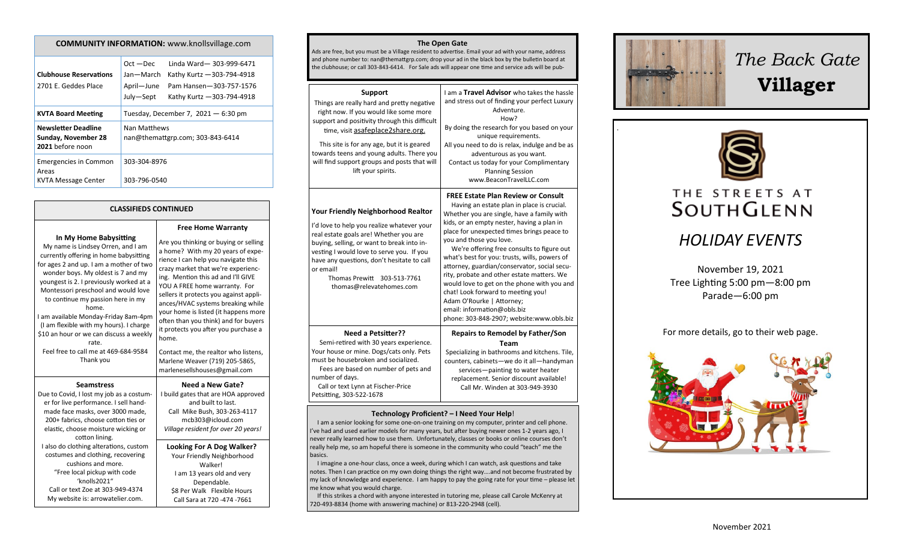| CONTRONT LINI ONIVIATION. WWW.NIIOII3VIIIQEC.COM                      |                                                                                                                                                                       |  |
|-----------------------------------------------------------------------|-----------------------------------------------------------------------------------------------------------------------------------------------------------------------|--|
| <b>Clubhouse Reservations</b><br>2701 E. Geddes Place                 | Linda Ward-303-999-6471<br>$Oct - Dec$<br>Kathy Kurtz - 303-794-4918<br>Jan—March<br>April-June<br>Pam Hansen-303-757-1576<br>July-Sept<br>Kathy Kurtz - 303-794-4918 |  |
| <b>KVTA Board Meeting</b>                                             | Tuesday, December 7, $2021 - 6:30$ pm                                                                                                                                 |  |
| <b>Newsletter Deadline</b><br>Sunday, November 28<br>2021 before noon | Nan Matthews<br>nan@themattgrp.com; 303-843-6414                                                                                                                      |  |
| <b>Emergencies in Common</b><br>Areas<br><b>KVTA Message Center</b>   | 303-304-8976<br>303-796-0540                                                                                                                                          |  |

**COMMUNITY INFORMATION:** www.knollsvillage.com

### **CLASSIFIEDS CONTINUED**

#### **In My Home Babysitting**

My name is Lindsey Orren, and I am currently offering in home babysitting for ages 2 and up. I am a mother of two wonder boys. My oldest is 7 and my youngest is 2. I previously worked at a Montessori preschool and would love to continue my passion here in my home. I am available Monday-Friday 8am-4pm (I am flexible with my hours). I charge \$10 an hour or we can discuss a weekly rate. Feel free to call me at 469-684-9584 Thank you **Seamstress**

er for live performance. I sell handmade face masks, over 3000 made, 200+ fabrics, choose cotton ties or elastic, choose moisture wicking or cotton lining. I also do clothing alterations, custom costumes and clothing, recovering cushions and more. "Free local pickup with code 'knolls2021" Call or text Zoe at 303-949-4374 My website is: arrowatelier.com.

Are you thinking or buying or selling a home? With my 20 years of experience I can help you navigate this crazy market that we're experiencing. Mention this ad and I'll GIVE YOU A FREE home warranty. For sellers it protects you against appliances/HVAC systems breaking while your home is listed (it happens more often than you think) and for buyers it protects you after you purchase a home. Contact me, the realtor who listens,

**Free Home Warranty**

Marlene Weaver (719) 205-5865, marlenesellshouses@gmail.com

Due to Covid, I lost my job as a costum-**Need a New Gate?** I build gates that are HOA approved and built to last. Call Mike Bush, 303-263-4117 mcb303@icloud.com *Village resident for over 20 years!*

> **Looking For A Dog Walker?** Your Friendly Neighborhood Walker! I am 13 years old and very Dependable. \$8 Per Walk Flexible Hours Call Sara at 720 -474 -7661

### **The Open Gate**

Ads are free, but you must be a Village resident to advertise. Email your ad with your name, address and phone number to: nan@themattgrp.com; drop your ad in the black box by the bulletin board at the clubhouse; or call 303-843-6414. For Sale ads will appear one time and service ads will be pub-

| <b>Support</b><br>Things are really hard and pretty negative<br>right now. If you would like some more<br>support and positivity through this difficult<br>time, visit asafeplace2share.org.<br>This site is for any age, but it is geared<br>towards teens and young adults. There you<br>will find support groups and posts that will<br>lift your spirits. | I am a Travel Advisor who takes the hassle<br>and stress out of finding your perfect Luxury<br>Adventure.<br>How?<br>By doing the research for you based on your<br>unique requirements.<br>All you need to do is relax, indulge and be as<br>adventurous as you want.<br>Contact us today for your Complimentary<br><b>Planning Session</b><br>www.BeaconTravelLLC.com                                                                                                                                                                                                                                                                                 |
|---------------------------------------------------------------------------------------------------------------------------------------------------------------------------------------------------------------------------------------------------------------------------------------------------------------------------------------------------------------|---------------------------------------------------------------------------------------------------------------------------------------------------------------------------------------------------------------------------------------------------------------------------------------------------------------------------------------------------------------------------------------------------------------------------------------------------------------------------------------------------------------------------------------------------------------------------------------------------------------------------------------------------------|
| Your Friendly Neighborhood Realtor<br>I'd love to help you realize whatever your<br>real estate goals are! Whether you are<br>buying, selling, or want to break into in-<br>vesting I would love to serve you. If you<br>have any questions, don't hesitate to call<br>or email!<br>Thomas Prewitt<br>303-513-7761<br>thomas@relevatehomes.com                | <b>FREE Estate Plan Review or Consult</b><br>Having an estate plan in place is crucial.<br>Whether you are single, have a family with<br>kids, or an empty nester, having a plan in<br>place for unexpected times brings peace to<br>you and those you love.<br>We're offering free consults to figure out<br>what's best for you: trusts, wills, powers of<br>attorney, guardian/conservator, social secu-<br>rity, probate and other estate matters. We<br>would love to get on the phone with you and<br>chat! Look forward to meeting you!<br>Adam O'Rourke   Attorney;<br>email: information@obls.biz<br>phone: 303-848-2907; website:www.obls.biz |
| <b>Need a Petsitter??</b><br>Semi-retired with 30 years experience.<br>Your house or mine. Dogs/cats only. Pets<br>must be housebroken and socialized.<br>Fees are based on number of pets and<br>number of days.<br>Call or text Lynn at Fischer-Price<br>Petsitting, 303-522-1678                                                                           | <b>Repairs to Remodel by Father/Son</b><br>Team<br>Specializing in bathrooms and kitchens. Tile,<br>counters, cabinets-we do it all-handyman<br>services-painting to water heater<br>replacement. Senior discount available!<br>Call Mr. Winden at 303-949-3930                                                                                                                                                                                                                                                                                                                                                                                         |
|                                                                                                                                                                                                                                                                                                                                                               | Tochnology Droficiont? I Neod Vour Holpi                                                                                                                                                                                                                                                                                                                                                                                                                                                                                                                                                                                                                |

#### **Technology Proficient? – I Need Your Help**!

 I am a senior looking for some one-on-one training on my computer, printer and cell phone. I've had and used earlier models for many years, but after buying newer ones 1-2 years ago, I never really learned how to use them. Unfortunately, classes or books or online courses don't really help me, so am hopeful there is someone in the community who could "teach" me the basics.

 I imagine a one-hour class, once a week, during which I can watch, ask questions and take notes. Then I can practice on my own doing things the right way….and not become frustrated by my lack of knowledge and experience. I am happy to pay the going rate for your time – please let me know what you would charge.

 If this strikes a chord with anyone interested in tutoring me, please call Carole McKenry at 720-493-8834 (home with answering machine) or 813-220-2948 (cell).



.

# *The Back Gate*  **Villager**



# THE STREETS AT **SOUTHGLENN**

# *HOLIDAY EVENTS*

November 19, 2021 Tree Lighting 5:00 pm—8:00 pm Parade—6:00 pm

For more details, go to their web page.